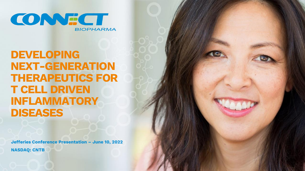

**DEVELOPING NEXT-GENERATION THERAPEUTICS FOR T CELL DRIVEN INFLAMMATORY DISEASES**

**Jefferies Conference Presentation – June 10, 2022 NASDAQ: CNTB**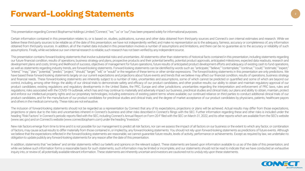# **Forward-Looking Statements <sup>2</sup>**

This presentation regarding Connect Biopharma Holdings Limited ("Connect," "we," "us" or "our") has been prepared solely for informational purposes.

Certain information contained in this presentation relates to, or is based on, studies, publications, surveys and other data obtained from third-party sources and Connect's own internal estimates and research. While we believe these third-party sources to be reliable as of the date of this presentation, we have not independently verified, and make no representation as to the adequacy, fairness, accuracy or completeness of, any informatio obtained from third-party sources. In addition, all of the market data included in this presentation involves a number of assumptions and limitations, and there can be no guarantee as to the accuracy or reliability of such assumptions. Finally, while we believe our own internal research is reliable, such research has not been verified by any independent source.

This presentation contains forward-looking statements thatinvolve substantial risks and uncertainties. All statements other than statements of historical facts contained in this presentation, including statements regarding our future financial condition, results of operations, business strategy and plans, prospective products and their potential benefits, potential product approvals, anticipated milestones, expected data readouts, research a development plans and costs, timing and likelihood of success, objectives of management for future operations, future results of anticipated product development efforts and adequacy of existing cash to fund operations, as well as statements regarding industry trends, are forward-looking statements. Forward-looking statements can be identified by words such as: "anticipate," "believe," "contemplate," "continue," "could," "estimate," "expe "intend," "may," "plan," "potential," "predict," "project," "should," "target," "will," or "would" or the negative of these terms or other similar expressions. The forward-looking statements in this presentation are only p have based these forward-looking statements largely on our current expectations and projections about future events and trends that we believe may affect our financial condition, results of operations, business strategy and financial needs. These forward-looking statements are inherently subject to a number of risks, uncertainties and assumptions, some of which cannot be predicted or quantified and some of which are beyond our control, including, among other things: the ability of our clinical trials to demonstrate safety and efficacy of our product candidates, and other positive results; our ability to obtain and maintain regulatory approval of product candidates; existing regulations and regulatory developments in the United States, the PRC, Europe and other jurisdictions; uncertainties regarding the interpretation and enforcement of PRC laws, rules and requlations; risks associated with the COVID-19 outbreak, which has and may continue to materially and adversely impact our business, preclinical studies and clinical trials; our plans and ability to obtain, maintain, prot and enforce our intellectual property rights and our proprietary technologies, including extensions of existing patent terms where available; our continued reliance on third parties to conduct additional clinical trials of product candidates, and for the manufacture of our product candidates for preclinical studies and clinical trials; and the degree of market acceptance of our product candidates by physicians, patients, healthcare payors and others in the medical community. These risks are not exhaustive.

The inclusion of forward-looking statements should not be regarded as a representation by Connect that any of its expectations, projections or plans will be achieved. Actual results may differ from those expectations, projections or plans due to the risks and uncertainties inherent in Connect's business and other risks described in Connect's filings with the SEC. Further information regarding these and other risks is included under the heading "Risk Factors" in Connect's periodic reports filed with the SEC, including Connect's Annual Report on Form 20-F filed with the SEC on March 31, 2022, and its other reports which are available from the SEC's website (www.sec.gov) and on Connect's website (www.connectbiopharm.com) under the heading "Investors."

New risk factors emerge from time to time and it is not possible for our management to predict all risk factors, nor can we assess the impact of all factors on our business or the extent to which any factor, or combination of factors, may cause actual results to differ materially from those contained in, orimplied by, any forward-looking statements. You should not rely upon forward-looking statements as predictions of future events. Although we believe that the expectations reflected in the forward-looking statements are reasonable, we cannot quarantee future results, levels of activity, performance or achievements. Except as required by law, we undertake no obligation to update publicly any forward-looking statements for any reason after the date of this presentation.

In addition, statements that "we believe" and similar statements reflect our beliefs and opinions on the relevant subject. These statements are based upon information available to us as of the date of this presentation, an while we believe such information forms a reasonable basis for such statements, such information may be limited or incomplete, and our statements should not be read to indicate that we have conducted an exhaustive inquiry into, or review of, all potentially available relevant information. These statements are inherently uncertain and investors are cautioned not to unduly rely upon these statements.

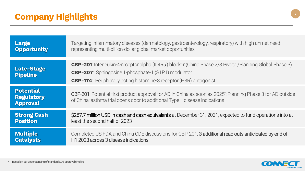| <b>Large</b>                                             | Targeting inflammatory diseases (dermatology, gastroenterology, respiratory) with high unmet need                                                                                                                                                                     |  |  |  |  |
|----------------------------------------------------------|-----------------------------------------------------------------------------------------------------------------------------------------------------------------------------------------------------------------------------------------------------------------------|--|--|--|--|
| <b>Opportunity</b>                                       | representing multi-billion-dollar global market opportunities                                                                                                                                                                                                         |  |  |  |  |
| <b>Late-Stage</b><br><b>Pipeline</b>                     | <b>CBP-201</b> : Interleukin-4-receptor alpha (IL4R $\alpha$ ) blocker (China Phase 2/3 Pivotal/Planning Global Phase 3)<br><b>CBP-307</b> : Sphingosine 1-phosphate-1 (S1P1) modulator<br><b>CBP-174</b> : Peripherally acting histamine-3 receptor (H3R) antagonist |  |  |  |  |
| <b>Potential</b><br><b>Regulatory</b><br><b>Approval</b> | CBP-201: Potential first product approval for AD in China as soon as 2025; Planning Phase 3 for AD outside<br>of China; asthma trial opens door to additional Type II disease indications                                                                             |  |  |  |  |
| <b>Strong Cash</b>                                       | \$267.7 million USD in cash and cash equivalents at December 31, 2021, expected to fund operations into at                                                                                                                                                            |  |  |  |  |
| <b>Position</b>                                          | least the second half of 2023                                                                                                                                                                                                                                         |  |  |  |  |
| <b>Multiple</b>                                          | Completed US FDA and China CDE discussions for CBP-201; 3 additional read outs anticipated by end of                                                                                                                                                                  |  |  |  |  |
| <b>Catalysts</b>                                         | H1 2023 across 3 disease indications                                                                                                                                                                                                                                  |  |  |  |  |



**3**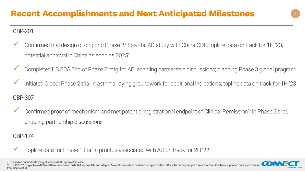## CBP-201

- Confirmed trial design of ongoing Phase 2/3 pivotal AD study with China CDE; topline data on track for 1H '23; potential approval in China as soon as 2025\*
- Completed US FDA End of Phase 2 mtg for AD, enabling partnership discussions; planning Phase 3 global program
- Initiated Global Phase 2 trial in asthma, laying groundwork for additional indications; topline data on track for 1H '23

## CBP-307

Confirmed proof of mechanism and met potential registrational endpoint of Clinical Remission<sup>\*\*</sup> in Phase 2 trial, enabling partnership discussions

#### CBP-174

Topline data for Phase 1 trial in pruritus associated with AD on track for 2H '22

• Based on our understanding of standard CDE approval timeline

CBP-307 2.0mg achieved Clinical Remission based on both the complete and adapted Mayo Scores, which has been accepted by the FDA as the primary endpoint in clinical trials that have supported prior approvals for treatments of UC.

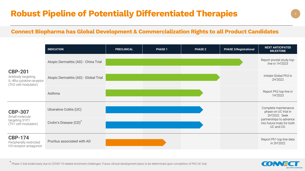#### **Connect Biopharma has Global Development & Commercialization Rights to all Product Candidates**

|                                                                                          | <b>INDICATION</b>                     | <b>PRECLINICAL</b> | <b>PHASE 1</b> | <b>PHASE 2</b> | <b>PHASE 3/Registrational</b> | <b>NEXT ANTICIPATED</b><br><b>MILESTONE</b>                          |
|------------------------------------------------------------------------------------------|---------------------------------------|--------------------|----------------|----------------|-------------------------------|----------------------------------------------------------------------|
| <b>CBP-201</b><br>Antibody targeting<br>IL-4Ra cytokine receptor<br>(Th2 cell modulator) | Atopic Dermatitis (AD) - China Trial  |                    |                |                |                               | Report pivotal study top-<br>line in 1H'2023                         |
|                                                                                          | Atopic Dermatitis (AD) - Global Trial |                    |                |                |                               | Initiate Global Ph3 in<br>2H'2022                                    |
|                                                                                          | Asthma                                |                    |                |                |                               | Report Ph2 top-line in<br>1H'2023                                    |
| <b>CBP-307</b><br>Small molecule<br>targeting S1P1<br>(Th1 cell modulator)               | Ulcerative Colitis (UC)               |                    |                |                |                               | Complete maintenance<br>phase on UC trial in<br>2H'2022. Seek        |
|                                                                                          | Crohn's Disease (CD)*                 |                    |                |                |                               | partnerships to advance<br>into future trials for both<br>UC and CD. |
| <b>CBP-174</b><br>Peripherally restricted<br>H3 receptor antagonist                      | Pruritus associated with AD           |                    |                |                |                               | Report Ph1 top-line data<br>in 2H'2022                               |

\* Phase 2 trial ended early due to COVID-19-related enrolment challenges. Future clinical development plans to be determined upon completion of Ph2 UC trial.